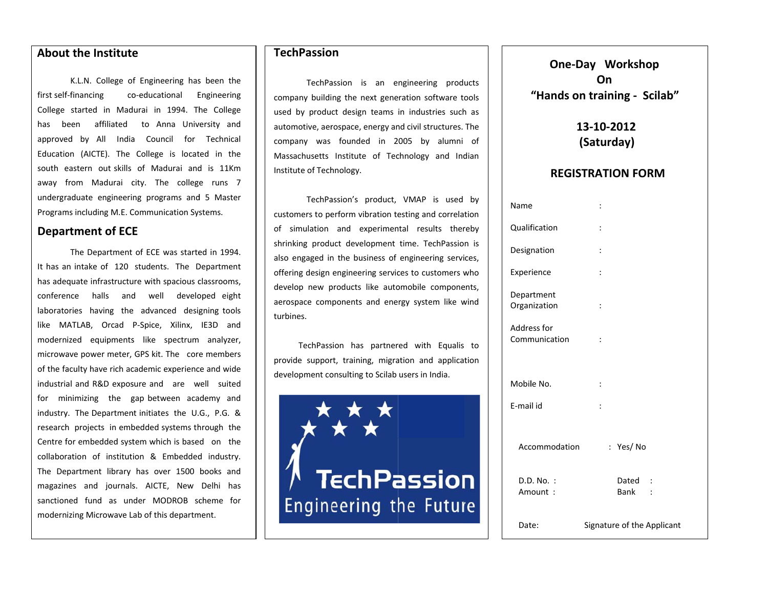#### **Aboutt the Institute e**

first self f‐financing co College started in Madurai in 1994. The College has been affiliated to-Anna-University-and approved by All India Council for Technical Education (AICTE). The College is located in the south eastern out-skills of Madurai and is 11Km away from Madurai city. The college runs 7 undergr raduate engineeri ng programs and d 5 Master Programs including M.E. Communication Systems. K.L.N. College <sup>o</sup> f Engineering has s been the o‐educational E Engineering

## **Department** of **ECE**

It has a n intake of 120 students. The D Department has adequate infrastructure with spacious classrooms, conference halls and well developed-eight laboratories having the advanced designing-tools like MATLAB, Orcad P‐Spice, Xilinx, IE3D and modernized equipments like spectrum analyzer, microwave power meter, GPS kit. The core members of the faculty have rich academic experience and wide industrial and R&D exposure and are well suited for minimizing the gap-between academy and industry. The Department initiates the U.G., P.G. & research projects in embedded systems through the Centre for embedded system which is based on the collaboration of institution & Embedded industry. The De partment library has over 1500 books and magazin nes and journals s. AICTE, New Delhi has sanctioned fund as under MODROB scheme for modern izing Microwave L Lab of this departm ment. The Department of ECE was started in 1994.

## **TechPassion**

TechPa assion is an <sup>e</sup> ngineering prod ucts company building the next generation software tools used by product design teams in industries such as automotive, aerospace, energy and civil structures. The company was founded in 2 005 by alumni of Massachusetts Institute of Technology and Indian Institute of Techhnology.

TechPa assion's product, VMAP is used by customers to perform vibration testing and correlation of simulation and experimental results thereby shrinking product development time. TechPassion is also engaged in the business of engineering services, offering design engineering services to customers who develop new products like automobile components, aerospace com ponents and ene rgy system like <sup>w</sup> wind turbines.

TechPassion has partnered with Equalis to provide support, training, migration and application development consulting to Scilab users in India.

**TechPassion Engineering the Future** 

**One‐Day Workshop "Hands on tr raining ‐ Scila ab" On**

> **13‐110‐2012(Sat turday)**

#### **REGISTRAATION FORMM**

| Name                         | $\vdots$                   |
|------------------------------|----------------------------|
| Qualification                | $\vdots$                   |
| Designation                  | $\vdots$                   |
| Experience                   | $\vdots$                   |
| Department<br>Organization   | $\vdots$                   |
| Address for<br>Communication | $\ddot{\cdot}$             |
| Mobile No.                   | $\ddot{\cdot}$             |
| E-mail id                    | $\vdots$                   |
| Accommodation                | : Yes/No                   |
| $D.D. No.$ :<br>Amount:      | Dated :<br>Bank            |
| Date:                        | Signature of the Applicant |